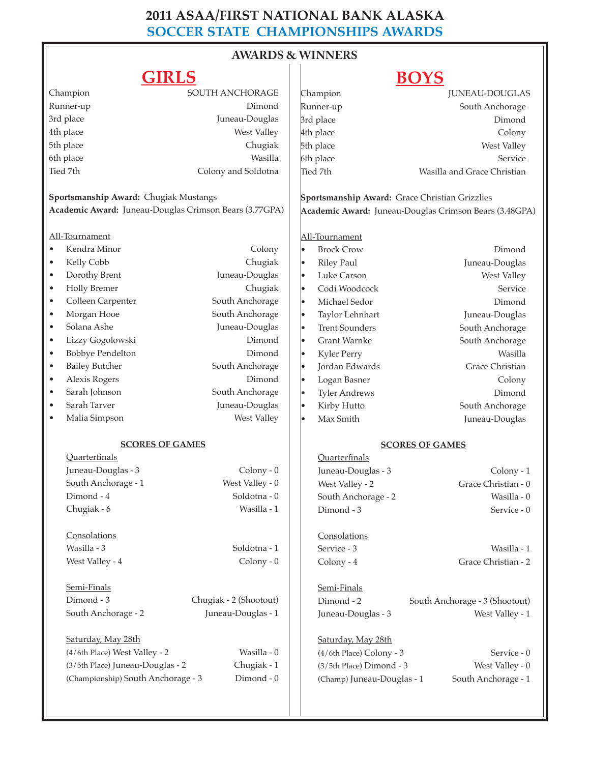### **2011 ASAA/FIRST NATIONAL BANK ALASKA SOCCER STATE CHAMPIONSHIPS AWARDS**

### **AWARDS & WINNERS**  $\overline{\phantom{a}}$

### **GIRLS**

## **BOYS**

| OIIVLO                                                 |                                       |                        |           |                                                        | DU LU                          |  |
|--------------------------------------------------------|---------------------------------------|------------------------|-----------|--------------------------------------------------------|--------------------------------|--|
|                                                        | Champion                              | SOUTH ANCHORAGE        |           | Champion                                               | <b>JUNEAU-DOUGLAS</b>          |  |
| Runner-up                                              |                                       | Dimond                 |           | Runner-up                                              | South Anchorage                |  |
| 3rd place                                              |                                       | Juneau-Douglas         |           | 3rd place                                              | Dimond                         |  |
| 4th place                                              |                                       | West Valley            |           | 4th place                                              | Colony                         |  |
| 5th place                                              |                                       | Chugiak                |           | 5th place                                              | West Valley                    |  |
| 6th place                                              |                                       | Wasilla                |           | 6th place                                              | Service                        |  |
|                                                        | Tied 7th                              | Colony and Soldotna    |           | Tied 7th                                               | Wasilla and Grace Christian    |  |
|                                                        | Sportsmanship Award: Chugiak Mustangs |                        |           | Sportsmanship Award: Grace Christian Grizzlies         |                                |  |
| Academic Award: Juneau-Douglas Crimson Bears (3.77GPA) |                                       |                        |           | Academic Award: Juneau-Douglas Crimson Bears (3.48GPA) |                                |  |
|                                                        |                                       |                        |           |                                                        |                                |  |
|                                                        | All-Tournament                        |                        |           | All-Tournament                                         |                                |  |
| $\bullet$                                              | Kendra Minor                          | Colony                 | l.        | <b>Brock Crow</b>                                      | Dimond                         |  |
| $\bullet$                                              | Kelly Cobb                            | Chugiak                | l.        | <b>Riley Paul</b>                                      | Juneau-Douglas                 |  |
| $\bullet$                                              | Dorothy Brent                         | Juneau-Douglas         | $\bullet$ | Luke Carson                                            | West Valley                    |  |
| $\bullet$                                              | <b>Holly Bremer</b>                   | Chugiak                | lo        | Codi Woodcock                                          | Service                        |  |
| $\bullet$                                              | Colleen Carpenter                     | South Anchorage        | l.        | Michael Sedor                                          | Dimond                         |  |
| $\bullet$                                              | Morgan Hooe                           | South Anchorage        | l.        |                                                        |                                |  |
|                                                        | Solana Ashe                           |                        |           | Taylor Lehnhart                                        | Juneau-Douglas                 |  |
| $\bullet$                                              |                                       | Juneau-Douglas         | $\bullet$ | <b>Trent Sounders</b>                                  | South Anchorage                |  |
| $\bullet$                                              | Lizzy Gogolowski                      | Dimond                 | lo        | <b>Grant Warnke</b>                                    | South Anchorage                |  |
| $\bullet$                                              | <b>Bobbye Pendelton</b>               | Dimond                 | $\bullet$ | Kyler Perry                                            | Wasilla                        |  |
| $\bullet$                                              | <b>Bailey Butcher</b>                 | South Anchorage        | I۰        | Jordan Edwards                                         | Grace Christian                |  |
| $\bullet$                                              | Alexis Rogers                         | Dimond                 | $\bullet$ | Logan Basner                                           | Colony                         |  |
| $\bullet$                                              | Sarah Johnson                         | South Anchorage        | $\bullet$ | <b>Tyler Andrews</b>                                   | Dimond                         |  |
| $\bullet$                                              | Sarah Tarver                          | Juneau-Douglas         | l.        | Kirby Hutto                                            | South Anchorage                |  |
| $\bullet$                                              | Malia Simpson                         | West Valley            | I۰        | Max Smith                                              | Juneau-Douglas                 |  |
|                                                        | <b>SCORES OF GAMES</b>                |                        |           | <b>SCORES OF GAMES</b>                                 |                                |  |
|                                                        | <b>Quarterfinals</b>                  |                        |           | Quarterfinals                                          |                                |  |
|                                                        | Juneau-Douglas - 3                    | $Colony - 0$           |           | Juneau-Douglas - 3                                     | Colony - 1                     |  |
|                                                        | South Anchorage - 1                   | West Valley - 0        |           | West Valley - 2                                        | Grace Christian - 0            |  |
|                                                        | Dimond - 4                            | Soldotna - 0           |           | South Anchorage - 2                                    | Wasilla - 0                    |  |
|                                                        | Chugiak - 6                           | Wasilla - 1            |           | Dimond - 3                                             | Service - 0                    |  |
|                                                        |                                       |                        |           |                                                        |                                |  |
|                                                        | Consolations                          |                        |           | Consolations                                           |                                |  |
|                                                        | Wasilla - 3                           | Soldotna - 1           |           | Service - 3                                            | Wasilla - 1                    |  |
|                                                        | West Valley - 4                       | $Colony - 0$           |           | Colony - 4                                             | Grace Christian - 2            |  |
|                                                        | Semi-Finals                           |                        |           | Semi-Finals                                            |                                |  |
|                                                        | Dimond - 3                            | Chugiak - 2 (Shootout) |           | Dimond - 2                                             | South Anchorage - 3 (Shootout) |  |
|                                                        | South Anchorage - 2                   | Juneau-Douglas - 1     |           | Juneau-Douglas - 3                                     | West Valley - 1                |  |
|                                                        | Saturday, May 28th                    |                        |           | Saturday, May 28th                                     |                                |  |
|                                                        | (4/6th Place) West Valley - 2         | Wasilla - 0            |           | (4/6th Place) Colony - 3                               | Service - 0                    |  |
|                                                        | (3/5th Place) Juneau-Douglas - 2      | Chugiak - 1            |           | $(3/5th$ Place) Dimond - 3                             | West Valley - 0                |  |
|                                                        | (Championship) South Anchorage - 3    | Dimond - 0             |           | (Champ) Juneau-Douglas - 1                             | South Anchorage - 1            |  |
|                                                        |                                       |                        |           |                                                        |                                |  |